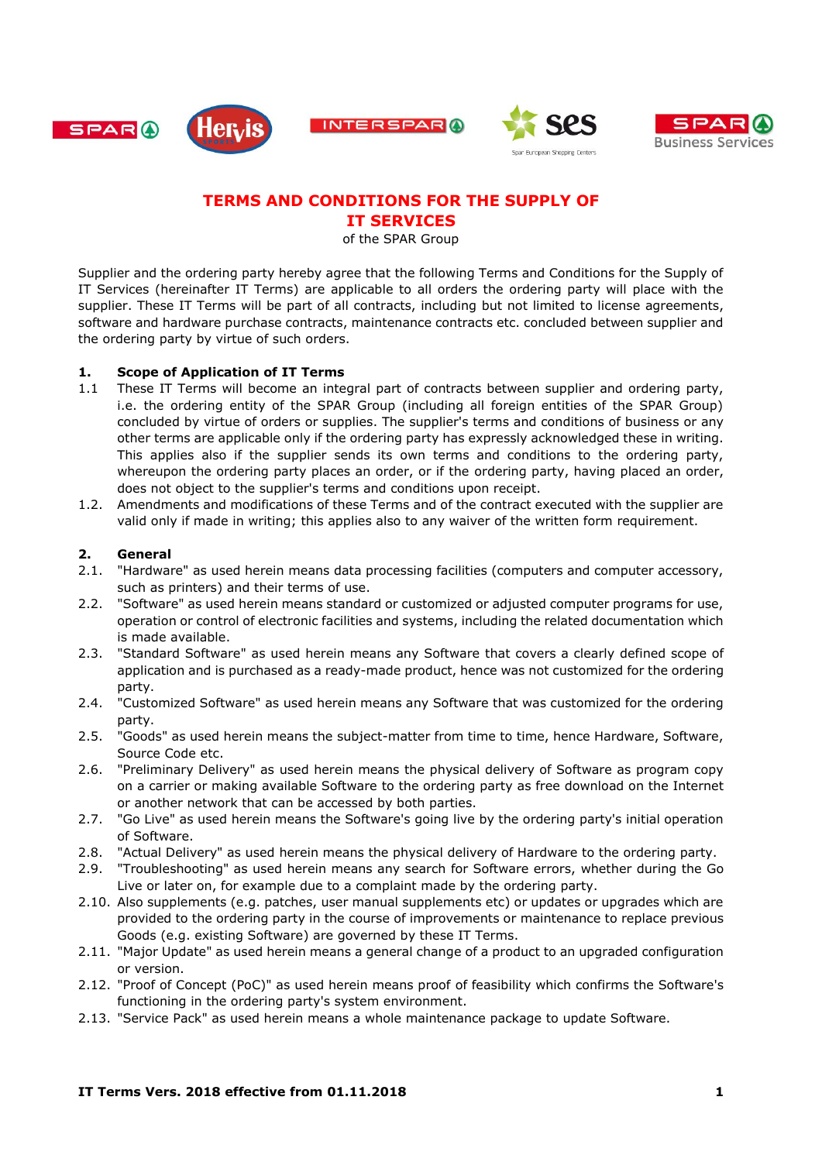









## **TERMS AND CONDITIONS FOR THE SUPPLY OF IT SERVICES**

of the SPAR Group

Supplier and the ordering party hereby agree that the following Terms and Conditions for the Supply of IT Services (hereinafter IT Terms) are applicable to all orders the ordering party will place with the supplier. These IT Terms will be part of all contracts, including but not limited to license agreements, software and hardware purchase contracts, maintenance contracts etc. concluded between supplier and the ordering party by virtue of such orders.

## **1. Scope of Application of IT Terms**

- 1.1 These IT Terms will become an integral part of contracts between supplier and ordering party, i.e. the ordering entity of the SPAR Group (including all foreign entities of the SPAR Group) concluded by virtue of orders or supplies. The supplier's terms and conditions of business or any other terms are applicable only if the ordering party has expressly acknowledged these in writing. This applies also if the supplier sends its own terms and conditions to the ordering party, whereupon the ordering party places an order, or if the ordering party, having placed an order, does not object to the supplier's terms and conditions upon receipt.
- 1.2. Amendments and modifications of these Terms and of the contract executed with the supplier are valid only if made in writing; this applies also to any waiver of the written form requirement.

## **2. General**

- 2.1. "Hardware" as used herein means data processing facilities (computers and computer accessory, such as printers) and their terms of use.
- 2.2. "Software" as used herein means standard or customized or adjusted computer programs for use, operation or control of electronic facilities and systems, including the related documentation which is made available.
- 2.3. "Standard Software" as used herein means any Software that covers a clearly defined scope of application and is purchased as a ready-made product, hence was not customized for the ordering party.
- 2.4. "Customized Software" as used herein means any Software that was customized for the ordering party.
- 2.5. "Goods" as used herein means the subject-matter from time to time, hence Hardware, Software, Source Code etc.
- 2.6. "Preliminary Delivery" as used herein means the physical delivery of Software as program copy on a carrier or making available Software to the ordering party as free download on the Internet or another network that can be accessed by both parties.
- 2.7. "Go Live" as used herein means the Software's going live by the ordering party's initial operation of Software.
- 2.8. "Actual Delivery" as used herein means the physical delivery of Hardware to the ordering party.
- 2.9. "Troubleshooting" as used herein means any search for Software errors, whether during the Go Live or later on, for example due to a complaint made by the ordering party.
- 2.10. Also supplements (e.g. patches, user manual supplements etc) or updates or upgrades which are provided to the ordering party in the course of improvements or maintenance to replace previous Goods (e.g. existing Software) are governed by these IT Terms.
- 2.11. "Major Update" as used herein means a general change of a product to an upgraded configuration or version.
- 2.12. "Proof of Concept (PoC)" as used herein means proof of feasibility which confirms the Software's functioning in the ordering party's system environment.
- 2.13. "Service Pack" as used herein means a whole maintenance package to update Software.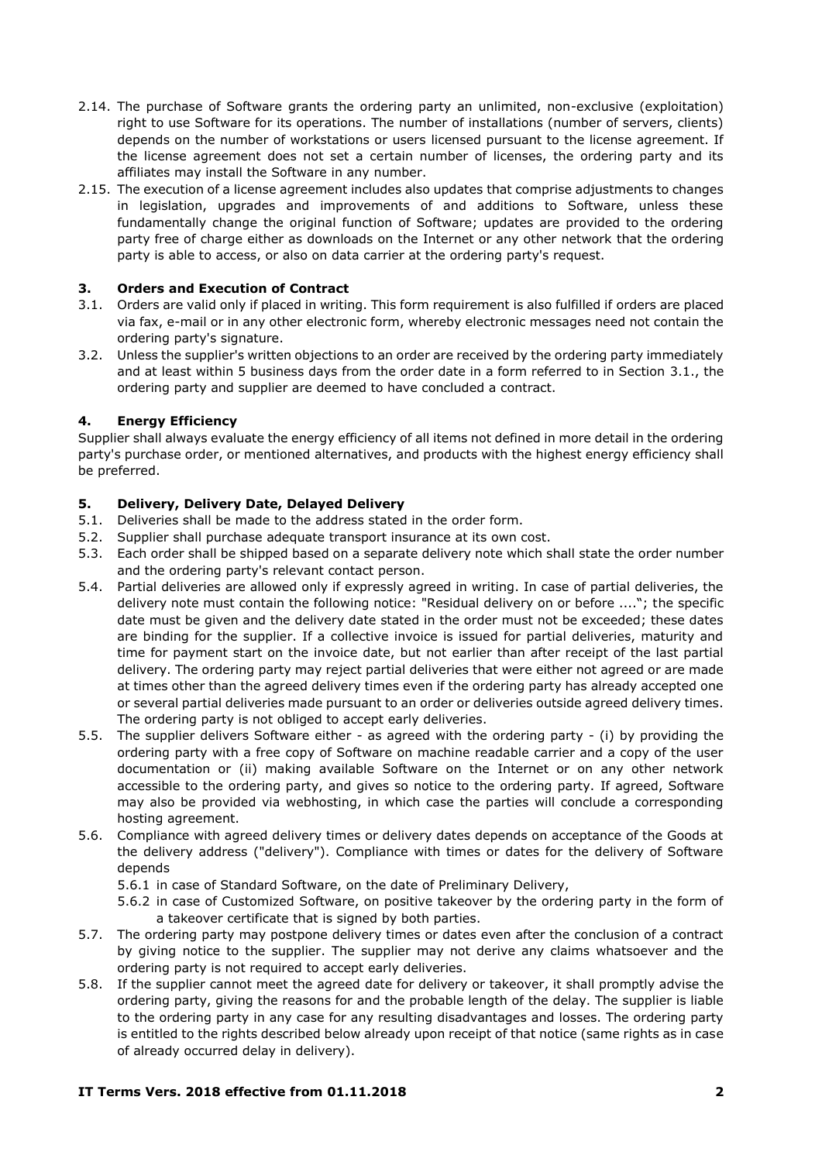- 2.14. The purchase of Software grants the ordering party an unlimited, non-exclusive (exploitation) right to use Software for its operations. The number of installations (number of servers, clients) depends on the number of workstations or users licensed pursuant to the license agreement. If the license agreement does not set a certain number of licenses, the ordering party and its affiliates may install the Software in any number.
- 2.15. The execution of a license agreement includes also updates that comprise adjustments to changes in legislation, upgrades and improvements of and additions to Software, unless these fundamentally change the original function of Software; updates are provided to the ordering party free of charge either as downloads on the Internet or any other network that the ordering party is able to access, or also on data carrier at the ordering party's request.

## <span id="page-1-3"></span>**3. Orders and Execution of Contract**

- <span id="page-1-0"></span>3.1. Orders are valid only if placed in writing. This form requirement is also fulfilled if orders are placed via fax, e-mail or in any other electronic form, whereby electronic messages need not contain the ordering party's signature.
- 3.2. Unless the supplier's written objections to an order are received by the ordering party immediately and at least within 5 business days from the order date in a form referred to in Section [3.1.](#page-1-0), the ordering party and supplier are deemed to have concluded a contract.

## **4. Energy Efficiency**

Supplier shall always evaluate the energy efficiency of all items not defined in more detail in the ordering party's purchase order, or mentioned alternatives, and products with the highest energy efficiency shall be preferred.

## **5. Delivery, Delivery Date, Delayed Delivery**

- 5.1. Deliveries shall be made to the address stated in the order form.
- 5.2. Supplier shall purchase adequate transport insurance at its own cost.
- 5.3. Each order shall be shipped based on a separate delivery note which shall state the order number and the ordering party's relevant contact person.
- 5.4. Partial deliveries are allowed only if expressly agreed in writing. In case of partial deliveries, the delivery note must contain the following notice: "Residual delivery on or before ...."; the specific date must be given and the delivery date stated in the order must not be exceeded; these dates are binding for the supplier. If a collective invoice is issued for partial deliveries, maturity and time for payment start on the invoice date, but not earlier than after receipt of the last partial delivery. The ordering party may reject partial deliveries that were either not agreed or are made at times other than the agreed delivery times even if the ordering party has already accepted one or several partial deliveries made pursuant to an order or deliveries outside agreed delivery times. The ordering party is not obliged to accept early deliveries.
- 5.5. The supplier delivers Software either as agreed with the ordering party (i) by providing the ordering party with a free copy of Software on machine readable carrier and a copy of the user documentation or (ii) making available Software on the Internet or on any other network accessible to the ordering party, and gives so notice to the ordering party. If agreed, Software may also be provided via webhosting, in which case the parties will conclude a corresponding hosting agreement.
- <span id="page-1-2"></span>5.6. Compliance with agreed delivery times or delivery dates depends on acceptance of the Goods at the delivery address ("delivery"). Compliance with times or dates for the delivery of Software depends

5.6.1 in case of Standard Software, on the date of Preliminary Delivery,

- 5.6.2 in case of Customized Software, on positive takeover by the ordering party in the form of a takeover certificate that is signed by both parties.
- <span id="page-1-1"></span>5.7. The ordering party may postpone delivery times or dates even after the conclusion of a contract by giving notice to the supplier. The supplier may not derive any claims whatsoever and the ordering party is not required to accept early deliveries.
- 5.8. If the supplier cannot meet the agreed date for delivery or takeover, it shall promptly advise the ordering party, giving the reasons for and the probable length of the delay. The supplier is liable to the ordering party in any case for any resulting disadvantages and losses. The ordering party is entitled to the rights described below already upon receipt of that notice (same rights as in case of already occurred delay in delivery).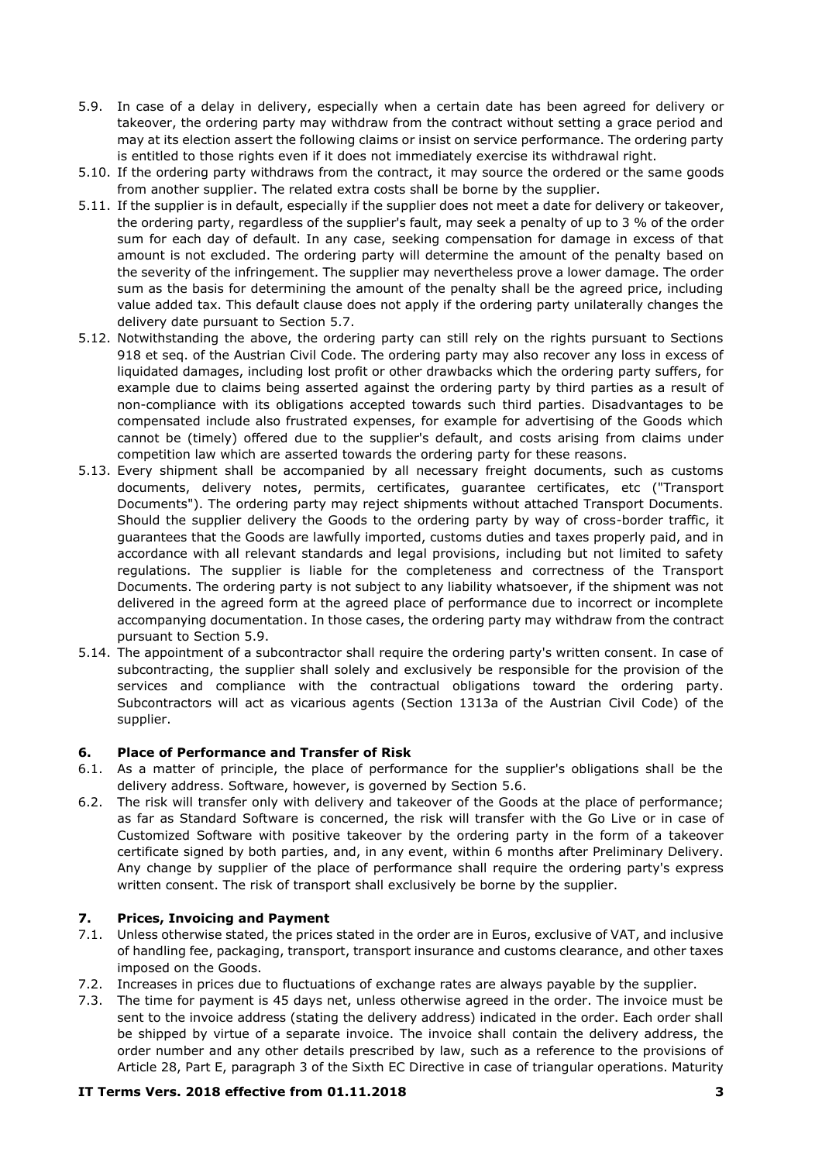- <span id="page-2-0"></span>5.9. In case of a delay in delivery, especially when a certain date has been agreed for delivery or takeover, the ordering party may withdraw from the contract without setting a grace period and may at its election assert the following claims or insist on service performance. The ordering party is entitled to those rights even if it does not immediately exercise its withdrawal right.
- 5.10. If the ordering party withdraws from the contract, it may source the ordered or the same goods from another supplier. The related extra costs shall be borne by the supplier.
- <span id="page-2-1"></span>5.11. If the supplier is in default, especially if the supplier does not meet a date for delivery or takeover, the ordering party, regardless of the supplier's fault, may seek a penalty of up to 3 % of the order sum for each day of default. In any case, seeking compensation for damage in excess of that amount is not excluded. The ordering party will determine the amount of the penalty based on the severity of the infringement. The supplier may nevertheless prove a lower damage. The order sum as the basis for determining the amount of the penalty shall be the agreed price, including value added tax. This default clause does not apply if the ordering party unilaterally changes the delivery date pursuant to Section [5.7.](#page-1-1)
- <span id="page-2-2"></span>5.12. Notwithstanding the above, the ordering party can still rely on the rights pursuant to Sections 918 et seq. of the Austrian Civil Code. The ordering party may also recover any loss in excess of liquidated damages, including lost profit or other drawbacks which the ordering party suffers, for example due to claims being asserted against the ordering party by third parties as a result of non-compliance with its obligations accepted towards such third parties. Disadvantages to be compensated include also frustrated expenses, for example for advertising of the Goods which cannot be (timely) offered due to the supplier's default, and costs arising from claims under competition law which are asserted towards the ordering party for these reasons.
- 5.13. Every shipment shall be accompanied by all necessary freight documents, such as customs documents, delivery notes, permits, certificates, guarantee certificates, etc ("Transport Documents"). The ordering party may reject shipments without attached Transport Documents. Should the supplier delivery the Goods to the ordering party by way of cross-border traffic, it guarantees that the Goods are lawfully imported, customs duties and taxes properly paid, and in accordance with all relevant standards and legal provisions, including but not limited to safety regulations. The supplier is liable for the completeness and correctness of the Transport Documents. The ordering party is not subject to any liability whatsoever, if the shipment was not delivered in the agreed form at the agreed place of performance due to incorrect or incomplete accompanying documentation. In those cases, the ordering party may withdraw from the contract pursuant to Section [5.9.](#page-2-0)
- 5.14. The appointment of a subcontractor shall require the ordering party's written consent. In case of subcontracting, the supplier shall solely and exclusively be responsible for the provision of the services and compliance with the contractual obligations toward the ordering party. Subcontractors will act as vicarious agents (Section 1313a of the Austrian Civil Code) of the supplier.

## **6. Place of Performance and Transfer of Risk**

- 6.1. As a matter of principle, the place of performance for the supplier's obligations shall be the delivery address. Software, however, is governed by Section [5.6.](#page-1-2)
- 6.2. The risk will transfer only with delivery and takeover of the Goods at the place of performance; as far as Standard Software is concerned, the risk will transfer with the Go Live or in case of Customized Software with positive takeover by the ordering party in the form of a takeover certificate signed by both parties, and, in any event, within 6 months after Preliminary Delivery. Any change by supplier of the place of performance shall require the ordering party's express written consent. The risk of transport shall exclusively be borne by the supplier.

#### **7. Prices, Invoicing and Payment**

- 7.1. Unless otherwise stated, the prices stated in the order are in Euros, exclusive of VAT, and inclusive of handling fee, packaging, transport, transport insurance and customs clearance, and other taxes imposed on the Goods.
- 7.2. Increases in prices due to fluctuations of exchange rates are always payable by the supplier.
- 7.3. The time for payment is 45 days net, unless otherwise agreed in the order. The invoice must be sent to the invoice address (stating the delivery address) indicated in the order. Each order shall be shipped by virtue of a separate invoice. The invoice shall contain the delivery address, the order number and any other details prescribed by law, such as a reference to the provisions of Article 28, Part E, paragraph 3 of the Sixth EC Directive in case of triangular operations. Maturity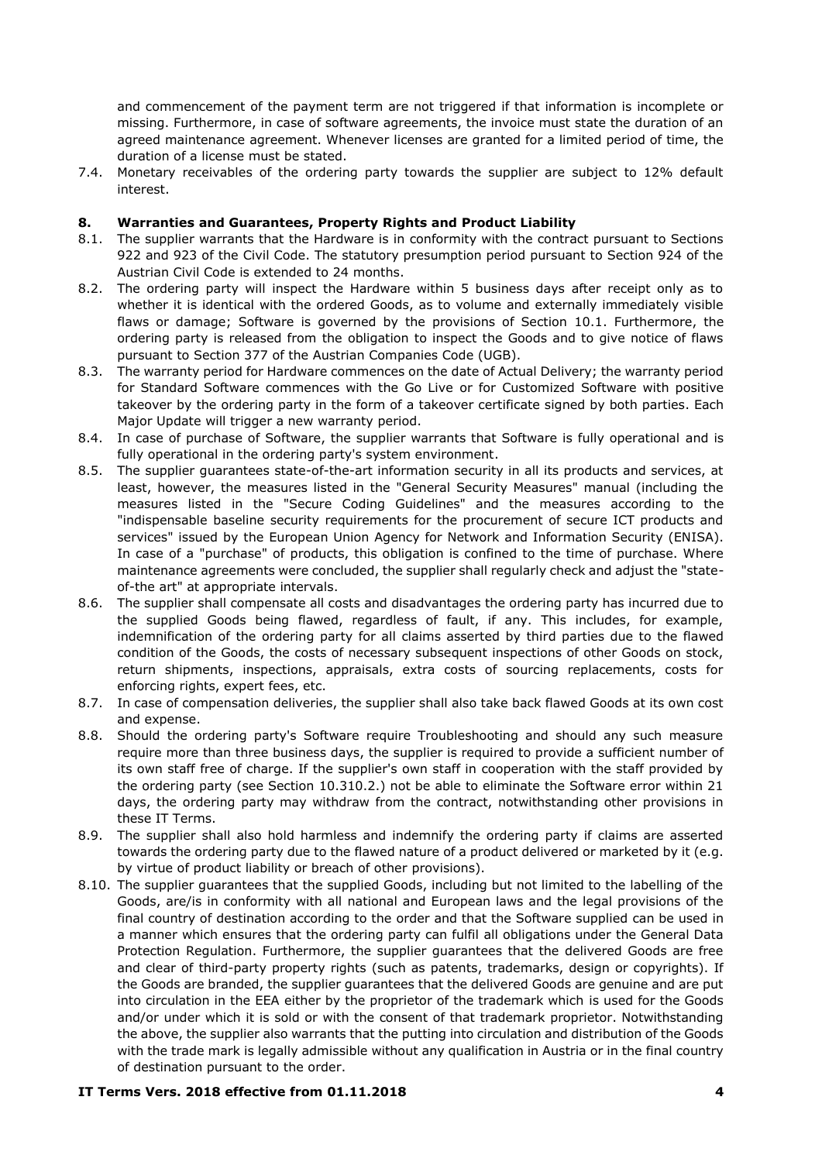and commencement of the payment term are not triggered if that information is incomplete or missing. Furthermore, in case of software agreements, the invoice must state the duration of an agreed maintenance agreement. Whenever licenses are granted for a limited period of time, the duration of a license must be stated.

7.4. Monetary receivables of the ordering party towards the supplier are subject to 12% default interest.

# <span id="page-3-0"></span>**8. Warranties and Guarantees, Property Rights and Product Liability**

- The supplier warrants that the Hardware is in conformity with the contract pursuant to Sections 922 and 923 of the Civil Code. The statutory presumption period pursuant to Section 924 of the Austrian Civil Code is extended to 24 months.
- 8.2. The ordering party will inspect the Hardware within 5 business days after receipt only as to whether it is identical with the ordered Goods, as to volume and externally immediately visible flaws or damage; Software is governed by the provisions of Section [10.1.](#page-4-0) Furthermore, the ordering party is released from the obligation to inspect the Goods and to give notice of flaws pursuant to Section 377 of the Austrian Companies Code (UGB).
- 8.3. The warranty period for Hardware commences on the date of Actual Delivery; the warranty period for Standard Software commences with the Go Live or for Customized Software with positive takeover by the ordering party in the form of a takeover certificate signed by both parties. Each Major Update will trigger a new warranty period.
- 8.4. In case of purchase of Software, the supplier warrants that Software is fully operational and is fully operational in the ordering party's system environment.
- 8.5. The supplier guarantees state-of-the-art information security in all its products and services, at least, however, the measures listed in the "General Security Measures" manual (including the measures listed in the "Secure Coding Guidelines" and the measures according to the "indispensable baseline security requirements for the procurement of secure ICT products and services" issued by the European Union Agency for Network and Information Security (ENISA). In case of a "purchase" of products, this obligation is confined to the time of purchase. Where maintenance agreements were concluded, the supplier shall regularly check and adjust the "stateof-the art" at appropriate intervals.
- 8.6. The supplier shall compensate all costs and disadvantages the ordering party has incurred due to the supplied Goods being flawed, regardless of fault, if any. This includes, for example, indemnification of the ordering party for all claims asserted by third parties due to the flawed condition of the Goods, the costs of necessary subsequent inspections of other Goods on stock, return shipments, inspections, appraisals, extra costs of sourcing replacements, costs for enforcing rights, expert fees, etc.
- 8.7. In case of compensation deliveries, the supplier shall also take back flawed Goods at its own cost and expense.
- 8.8. Should the ordering party's Software require Troubleshooting and should any such measure require more than three business days, the supplier is required to provide a sufficient number of its own staff free of charge. If the supplier's own staff in cooperation with the staff provided by the ordering party (see Section [10.310.2.](#page-5-0)) not be able to eliminate the Software error within 21 days, the ordering party may withdraw from the contract, notwithstanding other provisions in these IT Terms.
- 8.9. The supplier shall also hold harmless and indemnify the ordering party if claims are asserted towards the ordering party due to the flawed nature of a product delivered or marketed by it (e.g. by virtue of product liability or breach of other provisions).
- 8.10. The supplier guarantees that the supplied Goods, including but not limited to the labelling of the Goods, are/is in conformity with all national and European laws and the legal provisions of the final country of destination according to the order and that the Software supplied can be used in a manner which ensures that the ordering party can fulfil all obligations under the General Data Protection Regulation. Furthermore, the supplier guarantees that the delivered Goods are free and clear of third-party property rights (such as patents, trademarks, design or copyrights). If the Goods are branded, the supplier guarantees that the delivered Goods are genuine and are put into circulation in the EEA either by the proprietor of the trademark which is used for the Goods and/or under which it is sold or with the consent of that trademark proprietor. Notwithstanding the above, the supplier also warrants that the putting into circulation and distribution of the Goods with the trade mark is legally admissible without any qualification in Austria or in the final country of destination pursuant to the order.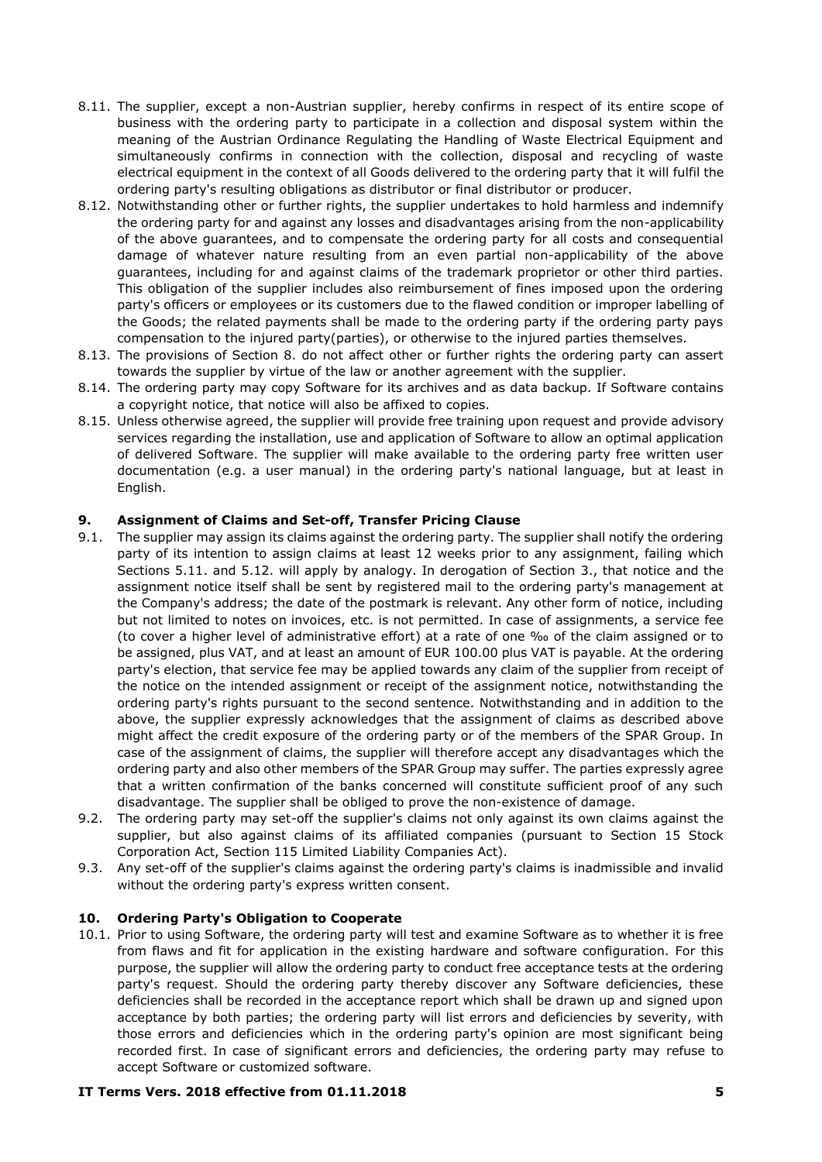- 8.11. The supplier, except a non-Austrian supplier, hereby confirms in respect of its entire scope of business with the ordering party to participate in a collection and disposal system within the meaning of the Austrian Ordinance Regulating the Handling of Waste Electrical Equipment and simultaneously confirms in connection with the collection, disposal and recycling of waste electrical equipment in the context of all Goods delivered to the ordering party that it will fulfil the ordering party's resulting obligations as distributor or final distributor or producer.
- 8.12. Notwithstanding other or further rights, the supplier undertakes to hold harmless and indemnify the ordering party for and against any losses and disadvantages arising from the non-applicability of the above guarantees, and to compensate the ordering party for all costs and consequential damage of whatever nature resulting from an even partial non-applicability of the above guarantees, including for and against claims of the trademark proprietor or other third parties. This obligation of the supplier includes also reimbursement of fines imposed upon the ordering party's officers or employees or its customers due to the flawed condition or improper labelling of the Goods; the related payments shall be made to the ordering party if the ordering party pays compensation to the injured party(parties), or otherwise to the injured parties themselves.
- 8.13. The provisions of Section [8.](#page-3-0) do not affect other or further rights the ordering party can assert towards the supplier by virtue of the law or another agreement with the supplier.
- 8.14. The ordering party may copy Software for its archives and as data backup. If Software contains a copyright notice, that notice will also be affixed to copies.
- 8.15. Unless otherwise agreed, the supplier will provide free training upon request and provide advisory services regarding the installation, use and application of Software to allow an optimal application of delivered Software. The supplier will make available to the ordering party free written user documentation (e.g. a user manual) in the ordering party's national language, but at least in English.

## **9. Assignment of Claims and Set-off, Transfer Pricing Clause**

- 9.1. The supplier may assign its claims against the ordering party. The supplier shall notify the ordering party of its intention to assign claims at least 12 weeks prior to any assignment, failing which Sections [5.11.](#page-2-1) and [5.12.](#page-2-2) will apply by analogy. In derogation of Section [3.](#page-1-3), that notice and the assignment notice itself shall be sent by registered mail to the ordering party's management at the Company's address; the date of the postmark is relevant. Any other form of notice, including but not limited to notes on invoices, etc. is not permitted. In case of assignments, a service fee (to cover a higher level of administrative effort) at a rate of one ‰ of the claim assigned or to be assigned, plus VAT, and at least an amount of EUR 100.00 plus VAT is payable. At the ordering party's election, that service fee may be applied towards any claim of the supplier from receipt of the notice on the intended assignment or receipt of the assignment notice, notwithstanding the ordering party's rights pursuant to the second sentence. Notwithstanding and in addition to the above, the supplier expressly acknowledges that the assignment of claims as described above might affect the credit exposure of the ordering party or of the members of the SPAR Group. In case of the assignment of claims, the supplier will therefore accept any disadvantages which the ordering party and also other members of the SPAR Group may suffer. The parties expressly agree that a written confirmation of the banks concerned will constitute sufficient proof of any such disadvantage. The supplier shall be obliged to prove the non-existence of damage.
- 9.2. The ordering party may set-off the supplier's claims not only against its own claims against the supplier, but also against claims of its affiliated companies (pursuant to Section 15 Stock Corporation Act, Section 115 Limited Liability Companies Act).
- 9.3. Any set-off of the supplier's claims against the ordering party's claims is inadmissible and invalid without the ordering party's express written consent.

#### **10. Ordering Party's Obligation to Cooperate**

<span id="page-4-0"></span>10.1. Prior to using Software, the ordering party will test and examine Software as to whether it is free from flaws and fit for application in the existing hardware and software configuration. For this purpose, the supplier will allow the ordering party to conduct free acceptance tests at the ordering party's request. Should the ordering party thereby discover any Software deficiencies, these deficiencies shall be recorded in the acceptance report which shall be drawn up and signed upon acceptance by both parties; the ordering party will list errors and deficiencies by severity, with those errors and deficiencies which in the ordering party's opinion are most significant being recorded first. In case of significant errors and deficiencies, the ordering party may refuse to accept Software or customized software.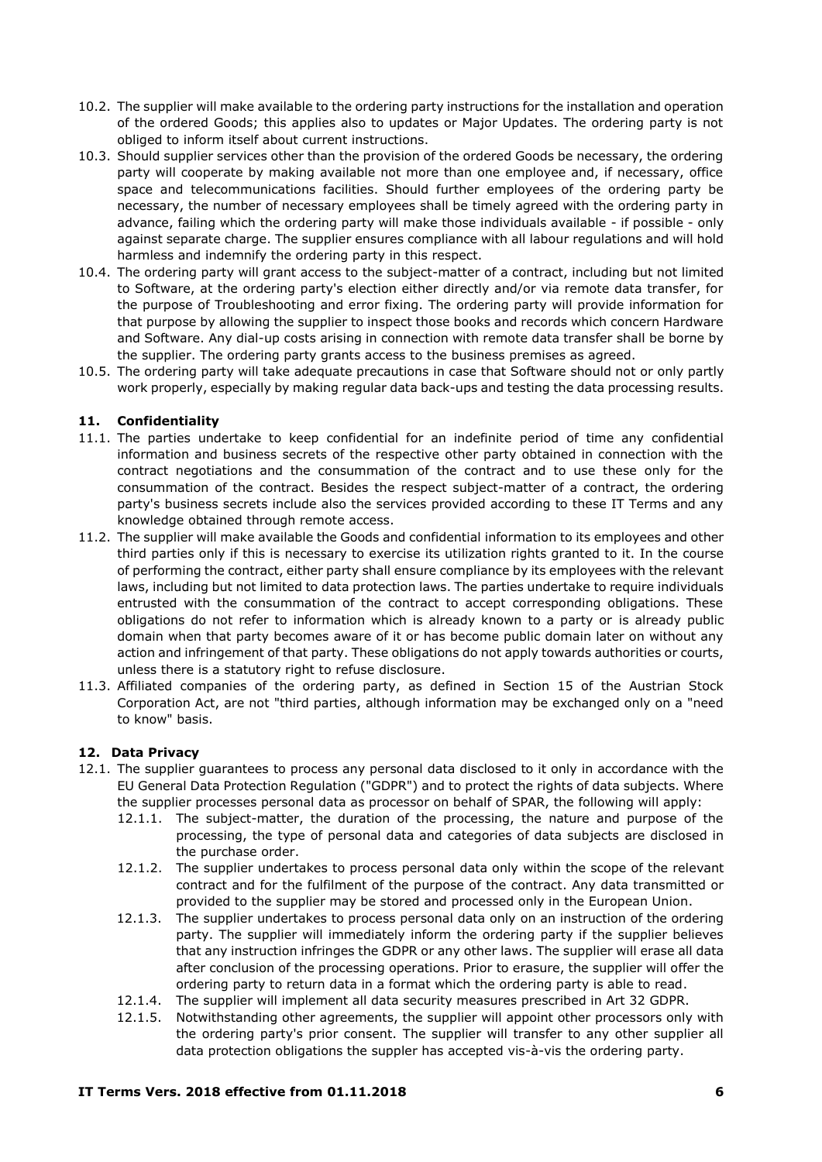- 10.2. The supplier will make available to the ordering party instructions for the installation and operation of the ordered Goods; this applies also to updates or Major Updates. The ordering party is not obliged to inform itself about current instructions.
- <span id="page-5-0"></span>10.3. Should supplier services other than the provision of the ordered Goods be necessary, the ordering party will cooperate by making available not more than one employee and, if necessary, office space and telecommunications facilities. Should further employees of the ordering party be necessary, the number of necessary employees shall be timely agreed with the ordering party in advance, failing which the ordering party will make those individuals available - if possible - only against separate charge. The supplier ensures compliance with all labour regulations and will hold harmless and indemnify the ordering party in this respect.
- 10.4. The ordering party will grant access to the subject-matter of a contract, including but not limited to Software, at the ordering party's election either directly and/or via remote data transfer, for the purpose of Troubleshooting and error fixing. The ordering party will provide information for that purpose by allowing the supplier to inspect those books and records which concern Hardware and Software. Any dial-up costs arising in connection with remote data transfer shall be borne by the supplier. The ordering party grants access to the business premises as agreed.
- 10.5. The ordering party will take adequate precautions in case that Software should not or only partly work properly, especially by making regular data back-ups and testing the data processing results.

## **11. Confidentiality**

- 11.1. The parties undertake to keep confidential for an indefinite period of time any confidential information and business secrets of the respective other party obtained in connection with the contract negotiations and the consummation of the contract and to use these only for the consummation of the contract. Besides the respect subject-matter of a contract, the ordering party's business secrets include also the services provided according to these IT Terms and any knowledge obtained through remote access.
- 11.2. The supplier will make available the Goods and confidential information to its employees and other third parties only if this is necessary to exercise its utilization rights granted to it. In the course of performing the contract, either party shall ensure compliance by its employees with the relevant laws, including but not limited to data protection laws. The parties undertake to require individuals entrusted with the consummation of the contract to accept corresponding obligations. These obligations do not refer to information which is already known to a party or is already public domain when that party becomes aware of it or has become public domain later on without any action and infringement of that party. These obligations do not apply towards authorities or courts, unless there is a statutory right to refuse disclosure.
- 11.3. Affiliated companies of the ordering party, as defined in Section 15 of the Austrian Stock Corporation Act, are not "third parties, although information may be exchanged only on a "need to know" basis.

#### **12. Data Privacy**

- 12.1. The supplier guarantees to process any personal data disclosed to it only in accordance with the EU General Data Protection Regulation ("GDPR") and to protect the rights of data subjects. Where the supplier processes personal data as processor on behalf of SPAR, the following will apply:
	- 12.1.1. The subject-matter, the duration of the processing, the nature and purpose of the processing, the type of personal data and categories of data subjects are disclosed in the purchase order.
	- 12.1.2. The supplier undertakes to process personal data only within the scope of the relevant contract and for the fulfilment of the purpose of the contract. Any data transmitted or provided to the supplier may be stored and processed only in the European Union.
	- 12.1.3. The supplier undertakes to process personal data only on an instruction of the ordering party. The supplier will immediately inform the ordering party if the supplier believes that any instruction infringes the GDPR or any other laws. The supplier will erase all data after conclusion of the processing operations. Prior to erasure, the supplier will offer the ordering party to return data in a format which the ordering party is able to read.
	- 12.1.4. The supplier will implement all data security measures prescribed in Art 32 GDPR.
	- 12.1.5. Notwithstanding other agreements, the supplier will appoint other processors only with the ordering party's prior consent. The supplier will transfer to any other supplier all data protection obligations the suppler has accepted vis-à-vis the ordering party.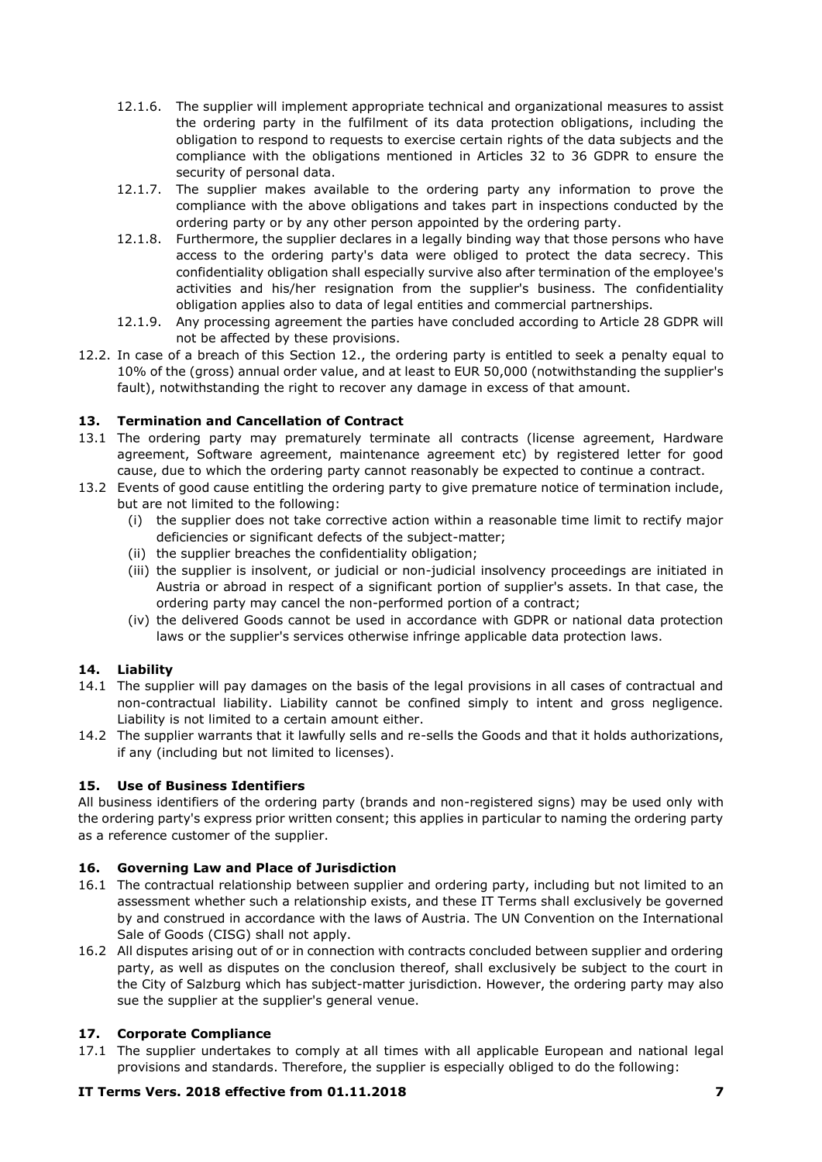- 12.1.6. The supplier will implement appropriate technical and organizational measures to assist the ordering party in the fulfilment of its data protection obligations, including the obligation to respond to requests to exercise certain rights of the data subjects and the compliance with the obligations mentioned in Articles 32 to 36 GDPR to ensure the security of personal data.
- 12.1.7. The supplier makes available to the ordering party any information to prove the compliance with the above obligations and takes part in inspections conducted by the ordering party or by any other person appointed by the ordering party.
- 12.1.8. Furthermore, the supplier declares in a legally binding way that those persons who have access to the ordering party's data were obliged to protect the data secrecy. This confidentiality obligation shall especially survive also after termination of the employee's activities and his/her resignation from the supplier's business. The confidentiality obligation applies also to data of legal entities and commercial partnerships.
- 12.1.9. Any processing agreement the parties have concluded according to Article 28 GDPR will not be affected by these provisions.
- 12.2. In case of a breach of this Section 12., the ordering party is entitled to seek a penalty equal to 10% of the (gross) annual order value, and at least to EUR 50,000 (notwithstanding the supplier's fault), notwithstanding the right to recover any damage in excess of that amount.

## **13. Termination and Cancellation of Contract**

- 13.1 The ordering party may prematurely terminate all contracts (license agreement, Hardware agreement, Software agreement, maintenance agreement etc) by registered letter for good cause, due to which the ordering party cannot reasonably be expected to continue a contract.
- 13.2 Events of good cause entitling the ordering party to give premature notice of termination include, but are not limited to the following:
	- (i) the supplier does not take corrective action within a reasonable time limit to rectify major deficiencies or significant defects of the subject-matter;
	- (ii) the supplier breaches the confidentiality obligation;
	- (iii) the supplier is insolvent, or judicial or non-judicial insolvency proceedings are initiated in Austria or abroad in respect of a significant portion of supplier's assets. In that case, the ordering party may cancel the non-performed portion of a contract;
	- (iv) the delivered Goods cannot be used in accordance with GDPR or national data protection laws or the supplier's services otherwise infringe applicable data protection laws.

## **14. Liability**

- 14.1 The supplier will pay damages on the basis of the legal provisions in all cases of contractual and non-contractual liability. Liability cannot be confined simply to intent and gross negligence. Liability is not limited to a certain amount either.
- 14.2 The supplier warrants that it lawfully sells and re-sells the Goods and that it holds authorizations, if any (including but not limited to licenses).

## **15. Use of Business Identifiers**

All business identifiers of the ordering party (brands and non-registered signs) may be used only with the ordering party's express prior written consent; this applies in particular to naming the ordering party as a reference customer of the supplier.

## **16. Governing Law and Place of Jurisdiction**

- <span id="page-6-0"></span>16.1 The contractual relationship between supplier and ordering party, including but not limited to an assessment whether such a relationship exists, and these IT Terms shall exclusively be governed by and construed in accordance with the laws of Austria. The UN Convention on the International Sale of Goods (CISG) shall not apply.
- 16.2 All disputes arising out of or in connection with contracts concluded between supplier and ordering party, as well as disputes on the conclusion thereof, shall exclusively be subject to the court in the City of Salzburg which has subject-matter jurisdiction. However, the ordering party may also sue the supplier at the supplier's general venue.

## **17. Corporate Compliance**

17.1 The supplier undertakes to comply at all times with all applicable European and national legal provisions and standards. Therefore, the supplier is especially obliged to do the following: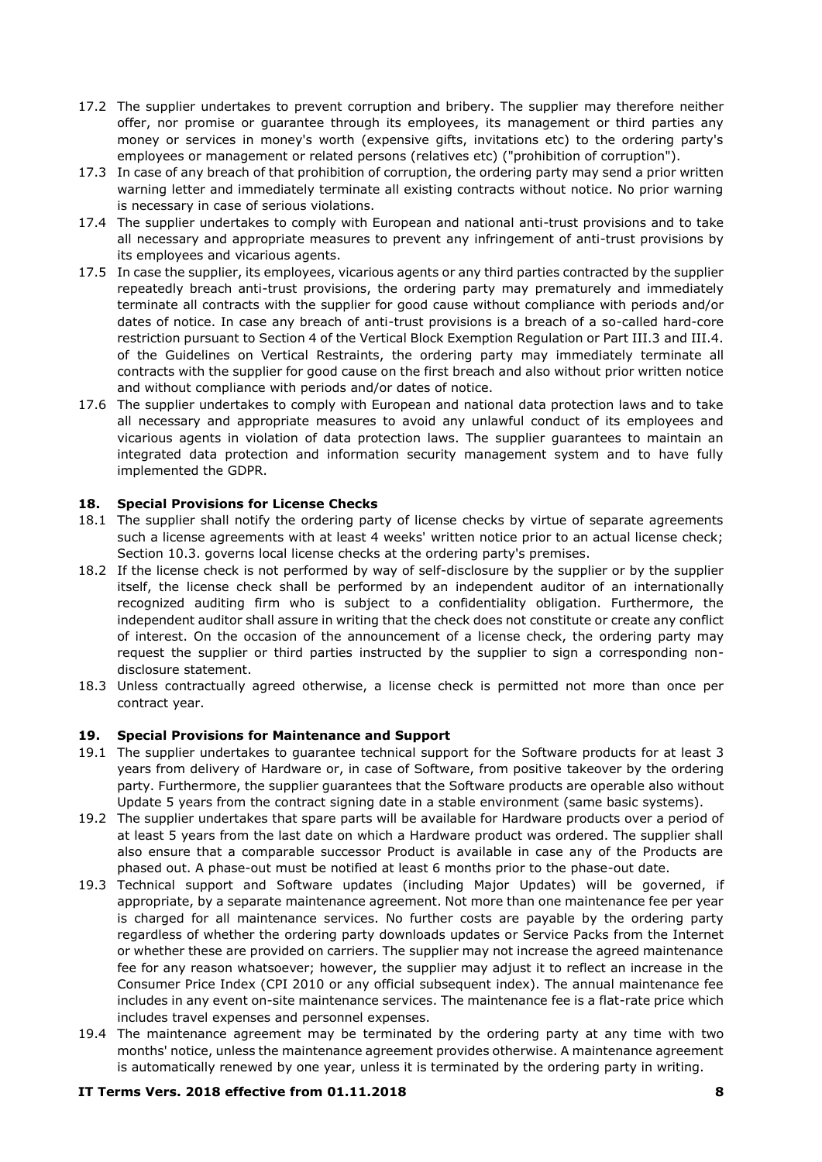- 17.2 The supplier undertakes to prevent corruption and bribery. The supplier may therefore neither offer, nor promise or guarantee through its employees, its management or third parties any money or services in money's worth (expensive gifts, invitations etc) to the ordering party's employees or management or related persons (relatives etc) ("prohibition of corruption").
- 17.3 In case of any breach of that prohibition of corruption, the ordering party may send a prior written warning letter and immediately terminate all existing contracts without notice. No prior warning is necessary in case of serious violations.
- 17.4 The supplier undertakes to comply with European and national anti-trust provisions and to take all necessary and appropriate measures to prevent any infringement of anti-trust provisions by its employees and vicarious agents.
- 17.5 In case the supplier, its employees, vicarious agents or any third parties contracted by the supplier repeatedly breach anti-trust provisions, the ordering party may prematurely and immediately terminate all contracts with the supplier for good cause without compliance with periods and/or dates of notice. In case any breach of anti-trust provisions is a breach of a so-called hard-core restriction pursuant to Section 4 of the Vertical Block Exemption Regulation or Part III.3 and III.4. of the Guidelines on Vertical Restraints, the ordering party may immediately terminate all contracts with the supplier for good cause on the first breach and also without prior written notice and without compliance with periods and/or dates of notice.
- 17.6 The supplier undertakes to comply with European and national data protection laws and to take all necessary and appropriate measures to avoid any unlawful conduct of its employees and vicarious agents in violation of data protection laws. The supplier guarantees to maintain an integrated data protection and information security management system and to have fully implemented the GDPR.

## **18. Special Provisions for License Checks**

- 18.1 The supplier shall notify the ordering party of license checks by virtue of separate agreements such a license agreements with at least 4 weeks' written notice prior to an actual license check; Section [10.3.](#page-5-0) governs local license checks at the ordering party's premises.
- 18.2 If the license check is not performed by way of self-disclosure by the supplier or by the supplier itself, the license check shall be performed by an independent auditor of an internationally recognized auditing firm who is subject to a confidentiality obligation. Furthermore, the independent auditor shall assure in writing that the check does not constitute or create any conflict of interest. On the occasion of the announcement of a license check, the ordering party may request the supplier or third parties instructed by the supplier to sign a corresponding nondisclosure statement.
- 18.3 Unless contractually agreed otherwise, a license check is permitted not more than once per contract year.

## **19. Special Provisions for Maintenance and Support**

- 19.1 The supplier undertakes to guarantee technical support for the Software products for at least 3 years from delivery of Hardware or, in case of Software, from positive takeover by the ordering party. Furthermore, the supplier guarantees that the Software products are operable also without Update 5 years from the contract signing date in a stable environment (same basic systems).
- 19.2 The supplier undertakes that spare parts will be available for Hardware products over a period of at least 5 years from the last date on which a Hardware product was ordered. The supplier shall also ensure that a comparable successor Product is available in case any of the Products are phased out. A phase-out must be notified at least 6 months prior to the phase-out date.
- 19.3 Technical support and Software updates (including Major Updates) will be governed, if appropriate, by a separate maintenance agreement. Not more than one maintenance fee per year is charged for all maintenance services. No further costs are payable by the ordering party regardless of whether the ordering party downloads updates or Service Packs from the Internet or whether these are provided on carriers. The supplier may not increase the agreed maintenance fee for any reason whatsoever; however, the supplier may adjust it to reflect an increase in the Consumer Price Index (CPI 2010 or any official subsequent index). The annual maintenance fee includes in any event on-site maintenance services. The maintenance fee is a flat-rate price which includes travel expenses and personnel expenses.
- 19.4 The maintenance agreement may be terminated by the ordering party at any time with two months' notice, unless the maintenance agreement provides otherwise. A maintenance agreement is automatically renewed by one year, unless it is terminated by the ordering party in writing.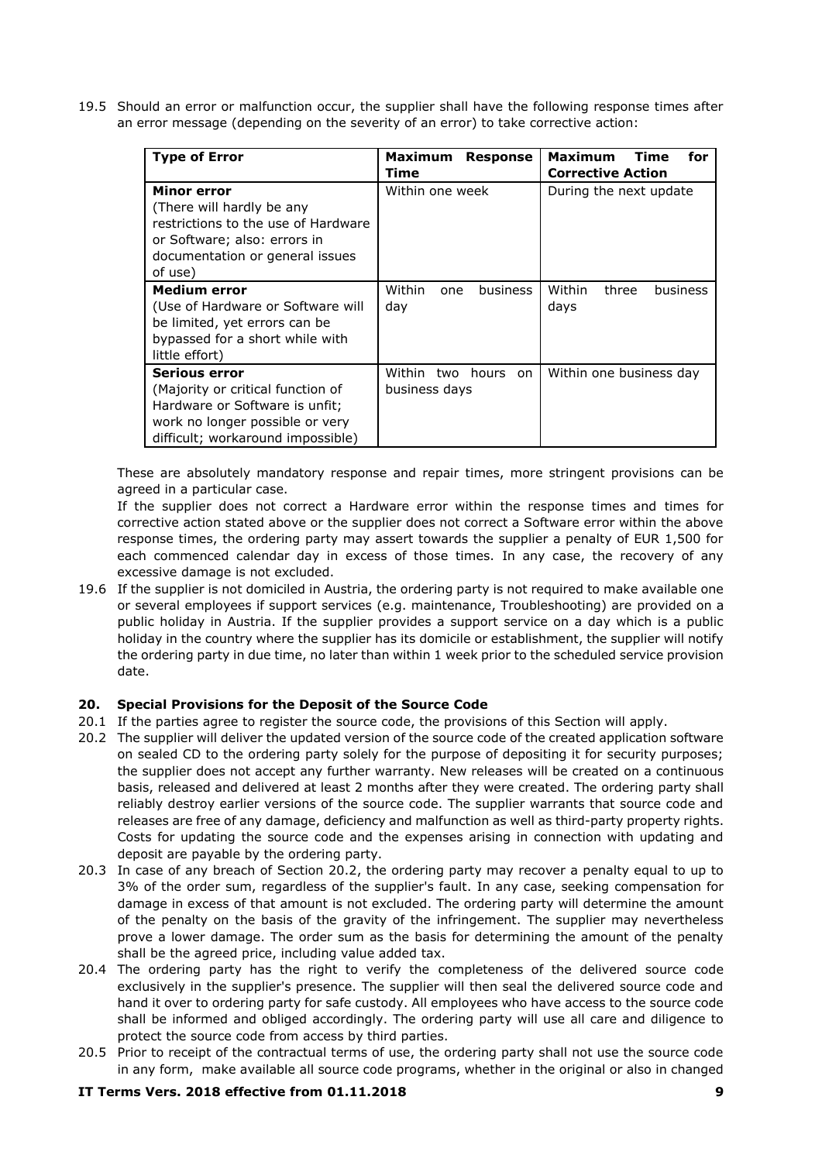19.5 Should an error or malfunction occur, the supplier shall have the following response times after an error message (depending on the severity of an error) to take corrective action:

| <b>Type of Error</b>                                                                                                                                          | Maximum<br><b>Response</b><br>Time            | <b>Maximum</b><br><b>Time</b><br>for<br><b>Corrective Action</b> |
|---------------------------------------------------------------------------------------------------------------------------------------------------------------|-----------------------------------------------|------------------------------------------------------------------|
| Minor error<br>(There will hardly be any<br>restrictions to the use of Hardware<br>or Software; also: errors in<br>documentation or general issues<br>of use) | Within one week                               | During the next update                                           |
| <b>Medium error</b><br>(Use of Hardware or Software will<br>be limited, yet errors can be<br>bypassed for a short while with<br>little effort)                | Within<br>business<br>one<br>day              | Within<br>three<br>business<br>days                              |
| Serious error<br>(Majority or critical function of<br>Hardware or Software is unfit;<br>work no longer possible or very<br>difficult; workaround impossible)  | Within<br>two<br>hours<br>on<br>business days | Within one business day                                          |

These are absolutely mandatory response and repair times, more stringent provisions can be agreed in a particular case.

If the supplier does not correct a Hardware error within the response times and times for corrective action stated above or the supplier does not correct a Software error within the above response times, the ordering party may assert towards the supplier a penalty of EUR 1,500 for each commenced calendar day in excess of those times. In any case, the recovery of any excessive damage is not excluded.

19.6 If the supplier is not domiciled in Austria, the ordering party is not required to make available one or several employees if support services (e.g. maintenance, Troubleshooting) are provided on a public holiday in Austria. If the supplier provides a support service on a day which is a public holiday in the country where the supplier has its domicile or establishment, the supplier will notify the ordering party in due time, no later than within 1 week prior to the scheduled service provision date.

## **20. Special Provisions for the Deposit of the Source Code**

- 20.1 If the parties agree to register the source code, the provisions of this Section will apply.
- 20.2 The supplier will deliver the updated version of the source code of the created application software on sealed CD to the ordering party solely for the purpose of depositing it for security purposes; the supplier does not accept any further warranty. New releases will be created on a continuous basis, released and delivered at least 2 months after they were created. The ordering party shall reliably destroy earlier versions of the source code. The supplier warrants that source code and releases are free of any damage, deficiency and malfunction as well as third-party property rights. Costs for updating the source code and the expenses arising in connection with updating and deposit are payable by the ordering party.
- 20.3 In case of any breach of Section 20.2, the ordering party may recover a penalty equal to up to 3% of the order sum, regardless of the supplier's fault. In any case, seeking compensation for damage in excess of that amount is not excluded. The ordering party will determine the amount of the penalty on the basis of the gravity of the infringement. The supplier may nevertheless prove a lower damage. The order sum as the basis for determining the amount of the penalty shall be the agreed price, including value added tax.
- 20.4 The ordering party has the right to verify the completeness of the delivered source code exclusively in the supplier's presence. The supplier will then seal the delivered source code and hand it over to ordering party for safe custody. All employees who have access to the source code shall be informed and obliged accordingly. The ordering party will use all care and diligence to protect the source code from access by third parties.
- 20.5 Prior to receipt of the contractual terms of use, the ordering party shall not use the source code in any form, make available all source code programs, whether in the original or also in changed